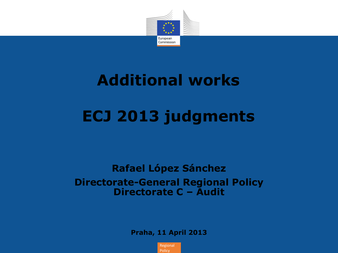

# **Additional works**

## **ECJ 2013 judgments**

#### **Rafael López Sánchez Directorate-General Regional Policy Directorate C – Audit**

**Praha, 11 April 2013**

Regional **Policy**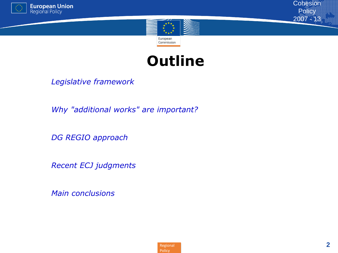





*Legislative framework*

*Why "additional works" are important?*

*DG REGIO approach* 

*Recent ECJ judgments*

*Main conclusions*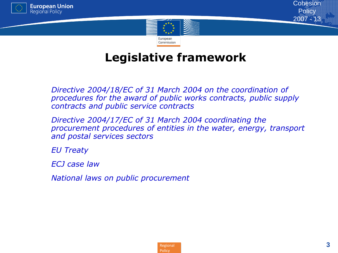



### **Legislative framework**

 *Directive 2004/18/EC of 31 March 2004 on the coordination of procedures for the award of public works contracts, public supply contracts and public service contracts*

 *Directive 2004/17/EC of 31 March 2004 coordinating the procurement procedures of entities in the water, energy, transport and postal services sectors*

*EU Treaty*

*ECJ case law*

*National laws on public procurement*

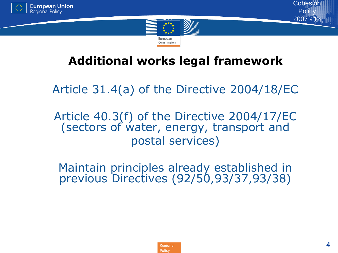



### **Additional works legal framework**

• Article 31.4(a) of the Directive 2004/18/EC

• Article 40.3(f) of the Directive 2004/17/EC (sectors of water, energy, transport and • postal services)

• Maintain principles already established in previous Directives (92/50,93/37,93/38)

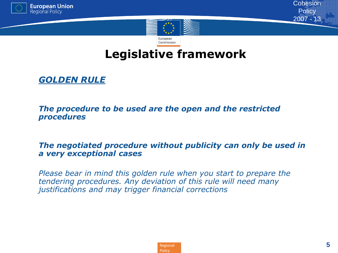



### **Legislative framework**

#### • *GOLDEN RULE*

• *The procedure to be used are the open and the restricted procedures*

#### • *The negotiated procedure without publicity can only be used in a very exceptional cases*

• *Please bear in mind this golden rule when you start to prepare the tendering procedures. Any deviation of this rule will need many justifications and may trigger financial corrections*

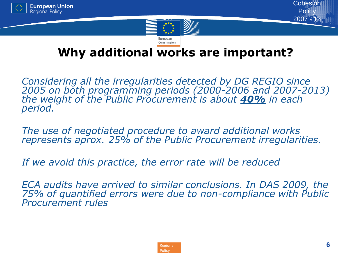



### **Why additional works are important?**

• *Considering all the irregularities detected by DG REGIO since 2005 on both programming periods (2000-2006 and 2007-2013) the weight of the Public Procurement is about 40% in each period.*

• *The use of negotiated procedure to award additional works represents aprox. 25% of the Public Procurement irregularities.*

• *If we avoid this practice, the error rate will be reduced*

• *ECA audits have arrived to similar conclusions. In DAS 2009, the 75% of quantified errors were due to non-compliance with Public Procurement rules*

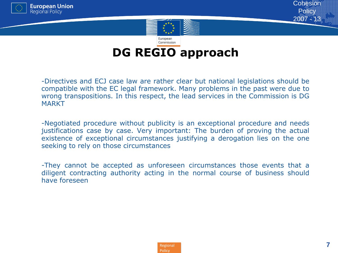



#### Commission **DG REGIO approach**

- -Directives and ECJ case law are rather clear but national legislations should be compatible with the EC legal framework. Many problems in the past were due to wrong transpositions. In this respect, the lead services in the Commission is DG **MARKT** 

-Negotiated procedure without publicity is an exceptional procedure and needs justifications case by case. Very important: The burden of proving the actual existence of exceptional circumstances justifying a derogation lies on the one seeking to rely on those circumstances

*-*They cannot be accepted as unforeseen circumstances those events that a diligent contracting authority acting in the normal course of business should have foreseen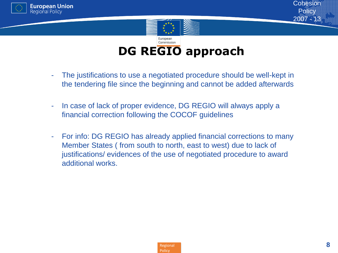





#### Commission **DG REGIO approach**

- The justifications to use a negotiated procedure should be well-kept in the tendering file since the beginning and cannot be added afterwards
- In case of lack of proper evidence, DG REGIO will always apply a financial correction following the COCOF guidelines
- For info: DG REGIO has already applied financial corrections to many Member States ( from south to north, east to west) due to lack of justifications/ evidences of the use of negotiated procedure to award additional works.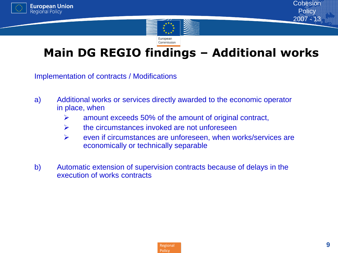



Commission

### **Main DG REGIO findings – Additional works**

Implementation of contracts / Modifications

- a) Additional works or services directly awarded to the economic operator in place, when
	- $\triangleright$  amount exceeds 50% of the amount of original contract,
	- $\triangleright$  the circumstances invoked are not unforeseen
	- $\triangleright$  even if circumstances are unforeseen, when works/services are economically or technically separable
- b) Automatic extension of supervision contracts because of delays in the execution of works contracts

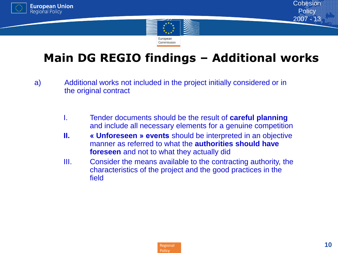



### **Main DG REGIO findings – Additional works**

- a) Additional works not included in the project initially considered or in the original contract
	- I. Tender documents should be the result of **careful planning** and include all necessary elements for a genuine competition
	- **II. « Unforeseen » events** should be interpreted in an objective manner as referred to what the **authorities should have foreseen** and not to what they actually did
	- III. Consider the means available to the contracting authority, the characteristics of the project and the good practices in the field

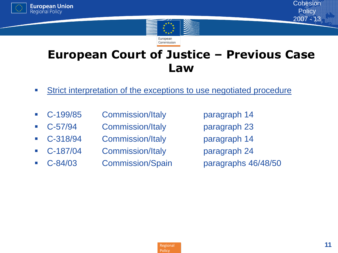



### **European Court of Justice – Previous Case Law**

- **Strict interpretation of the exceptions to use negotiated procedure**
- C-199/85 Commission/Italy paragraph 14
- C-57/94 Commission/Italy paragraph 23
- C-318/94 Commission/Italy paragraph 14
- 
- 

C-187/04 Commission/Italy paragraph 24

C-84/03 Commission/Spain paragraphs 46/48/50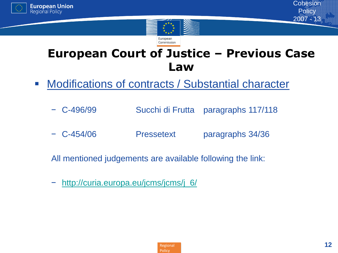



### **European Court of Justice – Previous Case Law**

- **Modifications of contracts / Substantial character** 
	- − C-496/99 Succhi di Frutta paragraphs 117/118
	- − C-454/06 Pressetext paragraphs 34/36

All mentioned judgements are available following the link:

[http://curia.europa.eu/jcms/jcms/j\\_6/](http://curia.europa.eu/jcms/jcms/j_6/)

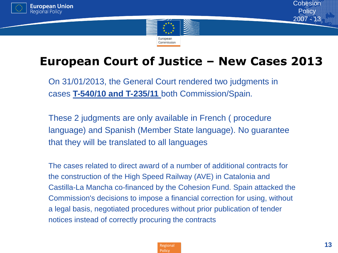



### **European Court of Justice – New Cases 2013**

On 31/01/2013, the General Court rendered two judgments in cases **T-540/10 and T-235/11** both Commission/Spain.

These 2 judgments are only available in French ( procedure language) and Spanish (Member State language). No guarantee that they will be translated to all languages

The cases related to direct award of a number of additional contracts for the construction of the High Speed Railway (AVE) in Catalonia and Castilla-La Mancha co-financed by the Cohesion Fund. Spain attacked the Commission's decisions to impose a financial correction for using, without a legal basis, negotiated procedures without prior publication of tender notices instead of correctly procuring the contracts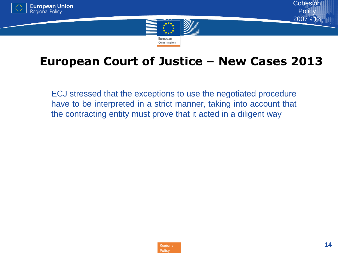



### **European Court of Justice – New Cases 2013**

ECJ stressed that the exceptions to use the negotiated procedure have to be interpreted in a strict manner, taking into account that the contracting entity must prove that it acted in a diligent way

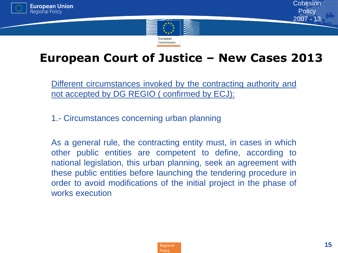



### **European Court of Justice – New Cases 2013**

Different circumstances invoked by the contracting authority and not accepted by DG REGIO ( confirmed by ECJ):

1.- Circumstances concerning urban planning

As a general rule, the contracting entity must, in cases in which other public entities are competent to define, according to national legislation, this urban planning, seek an agreement with these public entities before launching the tendering procedure in order to avoid modifications of the initial project in the phase of works execution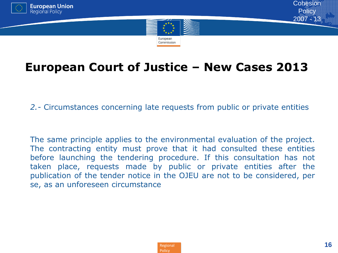





### **European Court of Justice – New Cases 2013**

• *2.-* Circumstances concerning late requests from public or private entities

The same principle applies to the environmental evaluation of the project. The contracting entity must prove that it had consulted these entities before launching the tendering procedure. If this consultation has not taken place, requests made by public or private entities after the publication of the tender notice in the OJEU are not to be considered, per se, as an unforeseen circumstance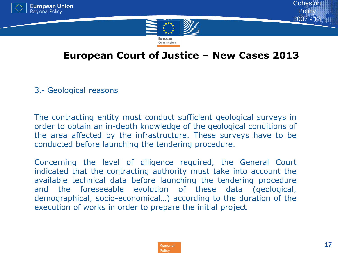



#### **European Court of Justice – New Cases 2013**

3.- Geological reasons

The contracting entity must conduct sufficient geological surveys in order to obtain an in-depth knowledge of the geological conditions of the area affected by the infrastructure. These surveys have to be conducted before launching the tendering procedure.

Concerning the level of diligence required, the General Court indicated that the contracting authority must take into account the available technical data before launching the tendering procedure and the foreseeable evolution of these data (geological, demographical, socio-economical…) according to the duration of the execution of works in order to prepare the initial project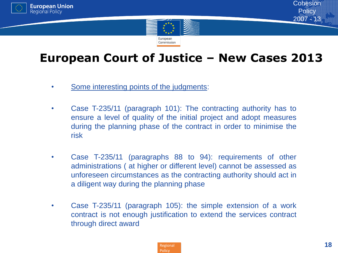



### **European Court of Justice – New Cases 2013**

- Some interesting points of the judgments:
- Case T-235/11 (paragraph 101): The contracting authority has to ensure a level of quality of the initial project and adopt measures during the planning phase of the contract in order to minimise the risk
- Case T-235/11 (paragraphs 88 to 94): requirements of other administrations ( at higher or different level) cannot be assessed as unforeseen circumstances as the contracting authority should act in a diligent way during the planning phase
- Case T-235/11 (paragraph 105): the simple extension of a work contract is not enough justification to extend the services contract through direct award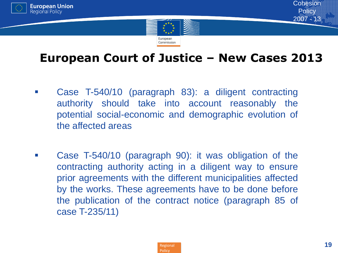



### **European Court of Justice – New Cases 2013**

- Case T-540/10 (paragraph 83): a diligent contracting authority should take into account reasonably the potential social-economic and demographic evolution of the affected areas
- **Case T-540/10 (paragraph 90): it was obligation of the** contracting authority acting in a diligent way to ensure prior agreements with the different municipalities affected by the works. These agreements have to be done before the publication of the contract notice (paragraph 85 of case T-235/11)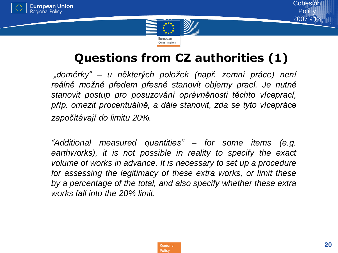



### **Questions from CZ authorities (1)**

*"doměrky" – u některých položek (např. zemní práce) není reálně možné předem přesně stanovit objemy prací. Je nutné stanovit postup pro posuzování oprávněnosti těchto víceprací, příp. omezit procentuálně, a dále stanovit, zda se tyto vícepráce započítávají do limitu 20%.*

*"Additional measured quantities" – for some items (e.g. earthworks), it is not possible in reality to specify the exact volume of works in advance. It is necessary to set up a procedure for assessing the legitimacy of these extra works, or limit these by a percentage of the total, and also specify whether these extra works fall into the 20% limit.*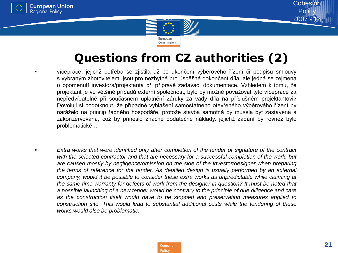





### **Questions from CZ authorities (2)**

- vícepráce, jejichž potřeba se zjistila až po ukončení výběrového řízení či podpisu smlouvy s vybraným zhotovitelem, jsou pro nezbytné pro úspěšné dokončení díla, ale jedná se zejména o opomenutí investora/projektanta při přípravě zadávací dokumentace. Vzhledem k tomu, že projektant je ve většině případů externí společnost, bylo by možné považovat tyto vícepráce za nepředvídatelné při současném uplatnění záruky za vady díla na příslušném projektantovi? Dovoluji si podotknout, že případné vyhlášení samostatného otevřeného výběrového řízení by naráželo na princip řádného hospodáře, protože stavba samotná by musela být zastavena a zakonzervována, což by přineslo značné dodatečné náklady, jejichž zadání by rovněž bylo problematické…
- *Extra works that were identified only after completion of the tender or signature of the contract with the selected contractor and that are necessary for a successful completion of the work, but are caused mostly by negligence/omission on the side of the investor/designer when preparing the terms of reference for the tender. As detailed design is usually performed by an external company, would it be possible to consider these extra works as unpredictable while claiming at the same time warranty for defects of work from the designer in question? It must be noted that a possible launching of a new tender would be contrary to the principle of due diligence and care as the construction itself would have to be stopped and preservation measures applied to construction site. This would lead to substantial additional costs while the tendering of these works would also be problematic.*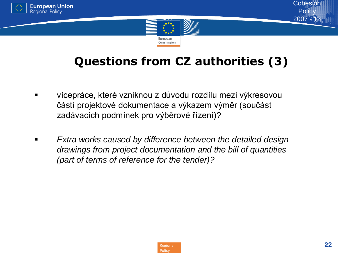



### **Questions from CZ authorities (3)**

- vícepráce, které vzniknou z důvodu rozdílu mezi výkresovou částí projektové dokumentace a výkazem výměr (součást zadávacích podmínek pro výběrové řízení)?
- *Extra works caused by difference between the detailed design drawings from project documentation and the bill of quantities (part of terms of reference for the tender)?*

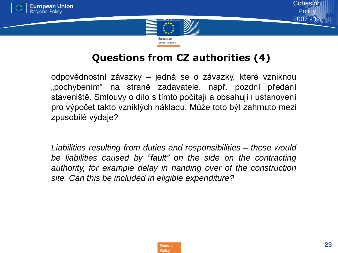



#### **Questions from CZ authorities (4)**

odpovědnostní závazky – jedná se o závazky, které vzniknou "pochybením" na straně zadavatele, např. pozdní předání staveniště. Smlouvy o dílo s tímto počítají a obsahují i ustanovení pro výpočet takto vzniklých nákladů. Může toto být zahrnuto mezi způsobilé výdaje?

*Liabilities resulting from duties and responsibilities – these would be liabilities caused by "fault" on the side on the contracting authority, for example delay in handing over of the construction site. Can this be included in eligible expenditure?*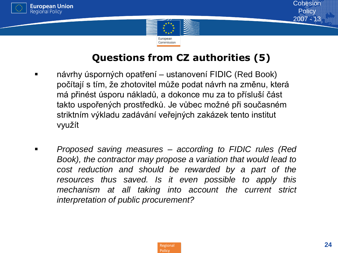



#### **Questions from CZ authorities (5)**

- návrhy úsporných opatření ustanovení FIDIC (Red Book) počítají s tím, že zhotovitel může podat návrh na změnu, která má přinést úsporu nákladů, a dokonce mu za to přísluší část takto uspořených prostředků. Je vůbec možné při současném striktním výkladu zadávání veřejných zakázek tento institut využít
- *Proposed saving measures – according to FIDIC rules (Red Book), the contractor may propose a variation that would lead to cost reduction and should be rewarded by a part of the resources thus saved. Is it even possible to apply this mechanism at all taking into account the current strict interpretation of public procurement?*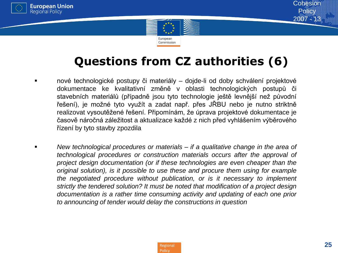



### **Questions from CZ authorities (6)**

- nové technologické postupy či materiály dojde-li od doby schválení projektové dokumentace ke kvalitativní změně v oblasti technologických postupů či stavebních materiálů (případně jsou tyto technologie ještě levnější než původní řešení), je možné tyto využít a zadat např. přes JŘBU nebo je nutno striktně realizovat vysoutěžené řešení. Připomínám, že úprava projektové dokumentace je časově náročná záležitost a aktualizace každé z nich před vyhlášením výběrového řízení by tyto stavby zpozdila
- *New technological procedures or materials – if a qualitative change in the area of technological procedures or construction materials occurs after the approval of project design documentation (or if these technologies are even cheaper than the original solution), is it possible to use these and procure them using for example the negotiated procedure without publication, or is it necessary to implement strictly the tendered solution? It must be noted that modification of a project design documentation is a rather time consuming activity and updating of each one prior to announcing of tender would delay the constructions in question*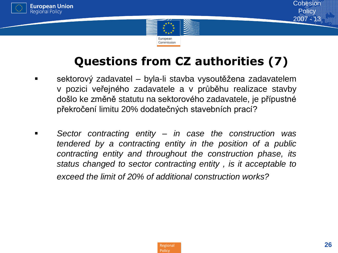



### **Questions from CZ authorities (7)**

- sektorový zadavatel byla-li stavba vysoutěžena zadavatelem v pozici veřejného zadavatele a v průběhu realizace stavby došlo ke změně statutu na sektorového zadavatele, je přípustné překročení limitu 20% dodatečných stavebních prací?
- *Sector contracting entity – in case the construction was tendered by a contracting entity in the position of a public contracting entity and throughout the construction phase, its status changed to sector contracting entity , is it acceptable to exceed the limit of 20% of additional construction works?*



**Cohesion Policy** 2007 - 13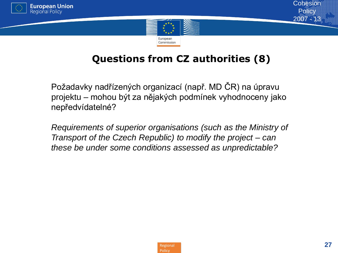



### **Questions from CZ authorities (8)**

Požadavky nadřízených organizací (např. MD ČR) na úpravu projektu – mohou být za nějakých podmínek vyhodnoceny jako nepředvídatelné?

*Requirements of superior organisations (such as the Ministry of Transport of the Czech Republic) to modify the project – can these be under some conditions assessed as unpredictable?*

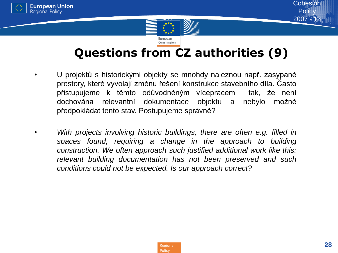



### **Questions from CZ authorities (9)**

- U projektů s historickými objekty se mnohdy naleznou např. zasypané prostory, které vyvolají změnu řešení konstrukce stavebního díla. Často přistupujeme k těmto odůvodněným vícepracem tak, že není dochována relevantní dokumentace objektu a nebylo možné předpokládat tento stav. Postupujeme správně?
- *With projects involving historic buildings, there are often e.g. filled in spaces found, requiring a change in the approach to building construction. We often approach such justified additional work like this: relevant building documentation has not been preserved and such conditions could not be expected. Is our approach correct?*

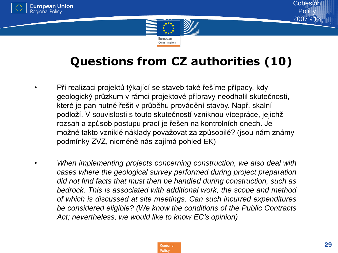



### **Questions from CZ authorities (10)**

- Při realizaci projektů týkající se staveb také řešíme případy, kdy geologický průzkum v rámci projektové přípravy neodhalil skutečnosti, které je pan nutné řešit v průběhu provádění stavby. Např. skalní podloží. V souvislosti s touto skutečností vzniknou vícepráce, jejichž rozsah a způsob postupu prací je řešen na kontrolních dnech. Je možné takto vzniklé náklady považovat za způsobilé? (jsou nám známy podmínky ZVZ, nicméně nás zajímá pohled EK)
- *When implementing projects concerning construction, we also deal with cases where the geological survey performed during project preparation did not find facts that must then be handled during construction, such as bedrock. This is associated with additional work, the scope and method of which is discussed at site meetings. Can such incurred expenditures be considered eligible? (We know the conditions of the Public Contracts Act; nevertheless, we would like to know EC's opinion)*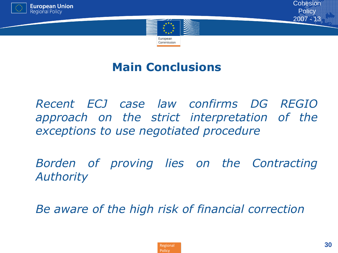



### **Main Conclusions**

• *Recent ECJ case law confirms DG REGIO approach on the strict interpretation of the exceptions to use negotiated procedure*

• *Borden of proving lies on the Contracting Authority*

• *Be aware of the high risk of financial correction*